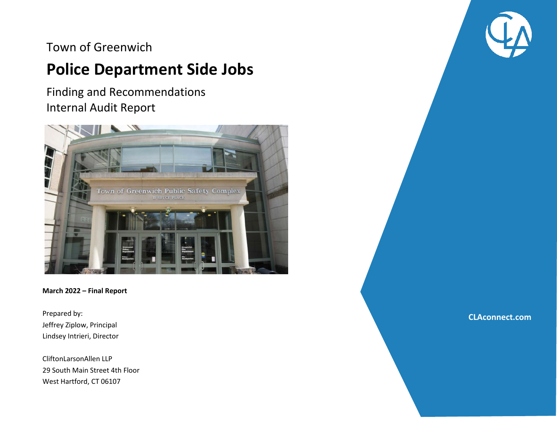## Town of Greenwich

# **Police Department Side Jobs**

Finding and Recommendations Internal Audit Report



 $C$ 2020 Clifton Larson  $\mathcal{L}$  ,  $\mathcal{L}$   $\mathcal{L}$   $\mathcal{L}$   $\mathcal{L}$   $\mathcal{L}$   $\mathcal{L}$   $\mathcal{L}$   $\mathcal{L}$   $\mathcal{L}$   $\mathcal{L}$   $\mathcal{L}$   $\mathcal{L}$   $\mathcal{L}$   $\mathcal{L}$   $\mathcal{L}$   $\mathcal{L}$   $\mathcal{L}$   $\mathcal{L}$   $\mathcal{L}$   $\mathcal{L}$   $\mathcal{L}$ 

#### **March 2022 – Final Report**

Prepared by: Jeffrey Ziplow, Principal Lindsey Intrieri, Director

CliftonLarsonAllen LLP 29 South Main Street 4th Floor West Hartford, CT 06107



**CLAconnect.com**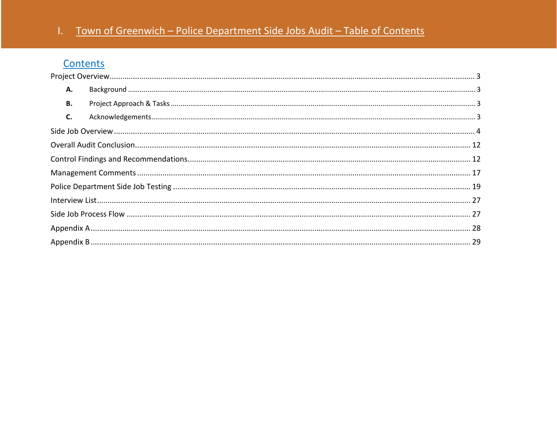## Town of Greenwich - Police Department Side Jobs Audit - Table of Contents

## Contents

| А. |  |  |  |  |  |  |
|----|--|--|--|--|--|--|
| В. |  |  |  |  |  |  |
| C. |  |  |  |  |  |  |
|    |  |  |  |  |  |  |
|    |  |  |  |  |  |  |
|    |  |  |  |  |  |  |
|    |  |  |  |  |  |  |
|    |  |  |  |  |  |  |
|    |  |  |  |  |  |  |
|    |  |  |  |  |  |  |
|    |  |  |  |  |  |  |
|    |  |  |  |  |  |  |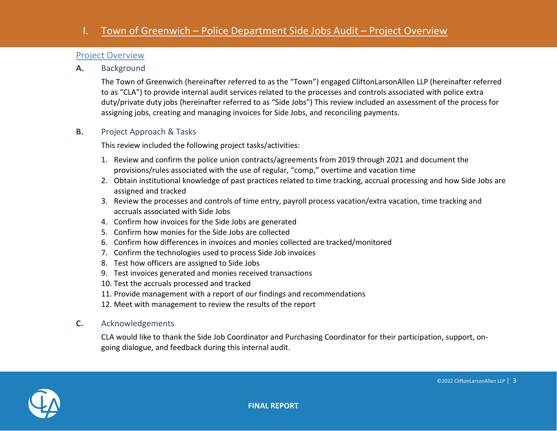#### <span id="page-2-0"></span>Project Overview

<span id="page-2-1"></span>**A.** Background

The Town of Greenwich (hereinafter referred to as the "Town") engaged CliftonLarsonAllen LLP (hereinafter referred to as "CLA") to provide internal audit services related to the processes and controls associated with police extra duty/private duty jobs (hereinafter referred to as "Side Jobs") This review included an assessment of the process for assigning jobs, creating and managing invoices for Side Jobs, and reconciling payments.

#### <span id="page-2-2"></span>**B.** Project Approach & Tasks

This review included the following project tasks/activities:

- 1. Review and confirm the police union contracts/agreements from 2019 through 2021 and document the provisions/rules associated with the use of regular, "comp," overtime and vacation time
- 2. Obtain institutional knowledge of past practices related to time tracking, accrual processing and how Side Jobs are assigned and tracked
- 3. Review the processes and controls of time entry, payroll process vacation/extra vacation, time tracking and accruals associated with Side Jobs
- 4. Confirm how invoices for the Side Jobs are generated
- 5. Confirm how monies for the Side Jobs are collected
- 6. Confirm how differences in invoices and monies collected are tracked/monitored
- 7. Confirm the technologies used to process Side Job invoices
- 8. Test how officers are assigned to Side Jobs
- 9. Test invoices generated and monies received transactions
- 10. Test the accruals processed and tracked
- 11. Provide management with a report of our findings and recommendations
- 12. Meet with management to review the results of the report

#### <span id="page-2-3"></span>**C.** Acknowledgements

CLA would like to thank the Side Job Coordinator and Purchasing Coordinator for their participation, support, ongoing dialogue, and feedback during this internal audit.

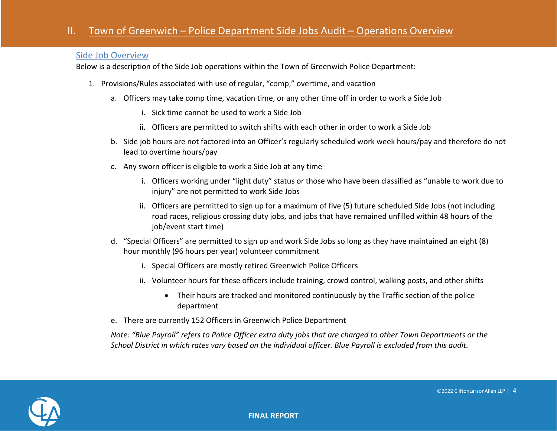#### <span id="page-3-0"></span>Side Job Overview

Below is a description of the Side Job operations within the Town of Greenwich Police Department:

- 1. Provisions/Rules associated with use of regular, "comp," overtime, and vacation
	- a. Officers may take comp time, vacation time, or any other time off in order to work a Side Job
		- i. Sick time cannot be used to work a Side Job
		- ii. Officers are permitted to switch shifts with each other in order to work a Side Job
	- b. Side job hours are not factored into an Officer's regularly scheduled work week hours/pay and therefore do not lead to overtime hours/pay
	- c. Any sworn officer is eligible to work a Side Job at any time
		- i. Officers working under "light duty" status or those who have been classified as "unable to work due to injury" are not permitted to work Side Jobs
		- ii. Officers are permitted to sign up for a maximum of five (5) future scheduled Side Jobs (not including road races, religious crossing duty jobs, and jobs that have remained unfilled within 48 hours of the job/event start time)
	- d. "Special Officers" are permitted to sign up and work Side Jobs so long as they have maintained an eight (8) hour monthly (96 hours per year) volunteer commitment
		- i. Special Officers are mostly retired Greenwich Police Officers
		- ii. Volunteer hours for these officers include training, crowd control, walking posts, and other shifts
			- Their hours are tracked and monitored continuously by the Traffic section of the police department
	- e. There are currently 152 Officers in Greenwich Police Department

*Note: "Blue Payroll" refers to Police Officer extra duty jobs that are charged to other Town Departments or the School District in which rates vary based on the individual officer. Blue Payroll is excluded from this audit.*

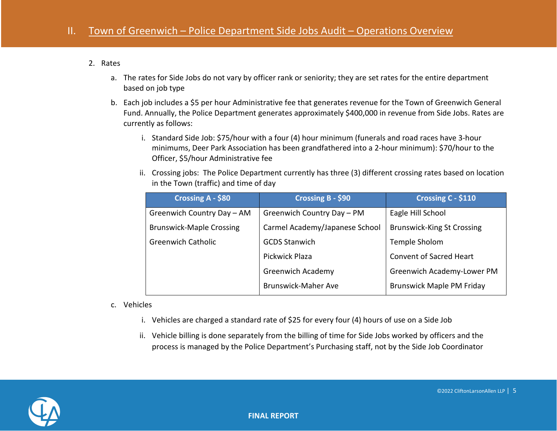#### 2. Rates

- a. The rates for Side Jobs do not vary by officer rank or seniority; they are set rates for the entire department based on job type
- b. Each job includes a \$5 per hour Administrative fee that generates revenue for the Town of Greenwich General Fund. Annually, the Police Department generates approximately \$400,000 in revenue from Side Jobs. Rates are currently as follows:
	- i. Standard Side Job: \$75/hour with a four (4) hour minimum (funerals and road races have 3-hour minimums, Deer Park Association has been grandfathered into a 2-hour minimum): \$70/hour to the Officer, \$5/hour Administrative fee
	- ii. Crossing jobs: The Police Department currently has three (3) different crossing rates based on location in the Town (traffic) and time of day

| Crossing A - \$80               | Crossing B - \$90              | Crossing C - \$110                |
|---------------------------------|--------------------------------|-----------------------------------|
| Greenwich Country Day - AM      | Greenwich Country Day - PM     | Eagle Hill School                 |
| <b>Brunswick-Maple Crossing</b> | Carmel Academy/Japanese School | <b>Brunswick-King St Crossing</b> |
| <b>Greenwich Catholic</b>       | <b>GCDS Stanwich</b>           | Temple Sholom                     |
|                                 | Pickwick Plaza                 | Convent of Sacred Heart           |
|                                 | <b>Greenwich Academy</b>       | Greenwich Academy-Lower PM        |
|                                 | <b>Brunswick-Maher Ave</b>     | <b>Brunswick Maple PM Friday</b>  |

- c. Vehicles
	- i. Vehicles are charged a standard rate of \$25 for every four (4) hours of use on a Side Job
	- ii. Vehicle billing is done separately from the billing of time for Side Jobs worked by officers and the process is managed by the Police Department's Purchasing staff, not by the Side Job Coordinator

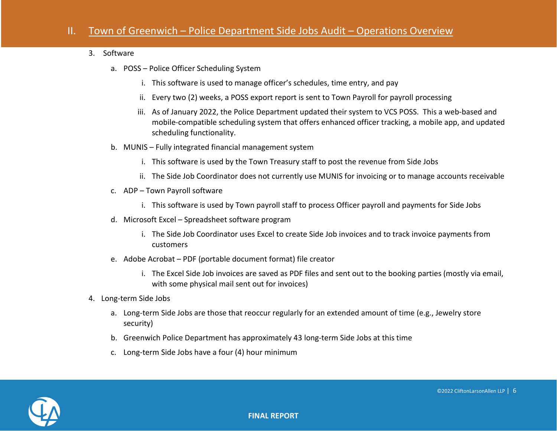#### 3. Software

- a. POSS Police Officer Scheduling System
	- i. This software is used to manage officer's schedules, time entry, and pay
	- ii. Every two (2) weeks, a POSS export report is sent to Town Payroll for payroll processing
	- iii. As of January 2022, the Police Department updated their system to VCS POSS. This a web-based and mobile-compatible scheduling system that offers enhanced officer tracking, a mobile app, and updated scheduling functionality.
- b. MUNIS Fully integrated financial management system
	- i. This software is used by the Town Treasury staff to post the revenue from Side Jobs
	- ii. The Side Job Coordinator does not currently use MUNIS for invoicing or to manage accounts receivable
- c. ADP Town Payroll software
	- i. This software is used by Town payroll staff to process Officer payroll and payments for Side Jobs
- d. Microsoft Excel Spreadsheet software program
	- i. The Side Job Coordinator uses Excel to create Side Job invoices and to track invoice payments from customers
- e. Adobe Acrobat PDF (portable document format) file creator
	- i. The Excel Side Job invoices are saved as PDF files and sent out to the booking parties (mostly via email, with some physical mail sent out for invoices)
- 4. Long-term Side Jobs
	- a. Long-term Side Jobs are those that reoccur regularly for an extended amount of time (e.g., Jewelry store security)
	- b. Greenwich Police Department has approximately 43 long-term Side Jobs at this time
	- c. Long-term Side Jobs have a four (4) hour minimum

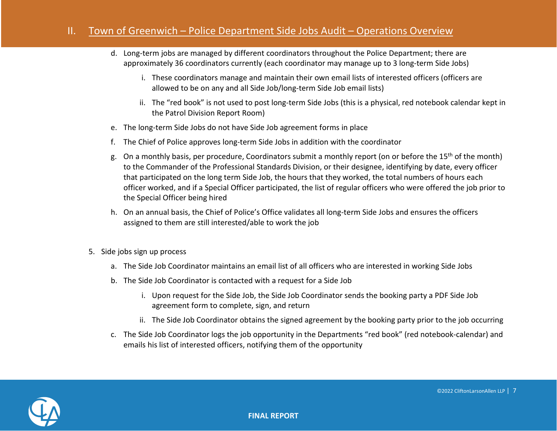- d. Long-term jobs are managed by different coordinators throughout the Police Department; there are approximately 36 coordinators currently (each coordinator may manage up to 3 long-term Side Jobs)
	- i. These coordinators manage and maintain their own email lists of interested officers (officers are allowed to be on any and all Side Job/long-term Side Job email lists)
	- ii. The "red book" is not used to post long-term Side Jobs (this is a physical, red notebook calendar kept in the Patrol Division Report Room)
- e. The long-term Side Jobs do not have Side Job agreement forms in place
- f. The Chief of Police approves long-term Side Jobs in addition with the coordinator
- g. On a monthly basis, per procedure, Coordinators submit a monthly report (on or before the 15<sup>th</sup> of the month) to the Commander of the Professional Standards Division, or their designee, identifying by date, every officer that participated on the long term Side Job, the hours that they worked, the total numbers of hours each officer worked, and if a Special Officer participated, the list of regular officers who were offered the job prior to the Special Officer being hired
- h. On an annual basis, the Chief of Police's Office validates all long-term Side Jobs and ensures the officers assigned to them are still interested/able to work the job
- 5. Side jobs sign up process
	- a. The Side Job Coordinator maintains an email list of all officers who are interested in working Side Jobs
	- b. The Side Job Coordinator is contacted with a request for a Side Job
		- i. Upon request for the Side Job, the Side Job Coordinator sends the booking party a PDF Side Job agreement form to complete, sign, and return
		- ii. The Side Job Coordinator obtains the signed agreement by the booking party prior to the job occurring
	- c. The Side Job Coordinator logs the job opportunity in the Departments "red book" (red notebook-calendar) and emails his list of interested officers, notifying them of the opportunity

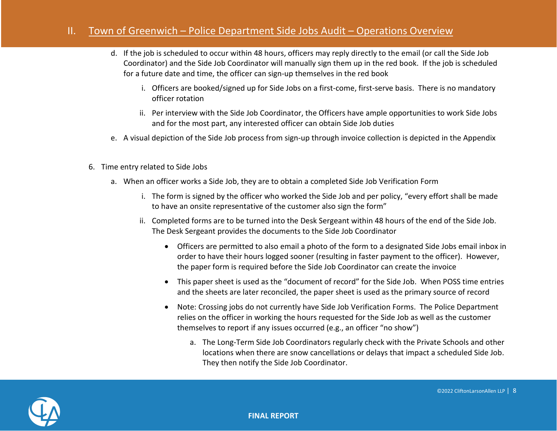- d. If the job is scheduled to occur within 48 hours, officers may reply directly to the email (or call the Side Job Coordinator) and the Side Job Coordinator will manually sign them up in the red book. If the job is scheduled for a future date and time, the officer can sign-up themselves in the red book
	- i. Officers are booked/signed up for Side Jobs on a first-come, first-serve basis. There is no mandatory officer rotation
	- ii. Per interview with the Side Job Coordinator, the Officers have ample opportunities to work Side Jobs and for the most part, any interested officer can obtain Side Job duties
- e. A visual depiction of the Side Job process from sign-up through invoice collection is depicted in the Appendix
- 6. Time entry related to Side Jobs
	- a. When an officer works a Side Job, they are to obtain a completed Side Job Verification Form
		- i. The form is signed by the officer who worked the Side Job and per policy, "every effort shall be made to have an onsite representative of the customer also sign the form"
		- ii. Completed forms are to be turned into the Desk Sergeant within 48 hours of the end of the Side Job. The Desk Sergeant provides the documents to the Side Job Coordinator
			- Officers are permitted to also email a photo of the form to a designated Side Jobs email inbox in order to have their hours logged sooner (resulting in faster payment to the officer). However, the paper form is required before the Side Job Coordinator can create the invoice
			- This paper sheet is used as the "document of record" for the Side Job. When POSS time entries and the sheets are later reconciled, the paper sheet is used as the primary source of record
			- Note: Crossing jobs do not currently have Side Job Verification Forms. The Police Department relies on the officer in working the hours requested for the Side Job as well as the customer themselves to report if any issues occurred (e.g., an officer "no show")
				- a. The Long-Term Side Job Coordinators regularly check with the Private Schools and other locations when there are snow cancellations or delays that impact a scheduled Side Job. They then notify the Side Job Coordinator.

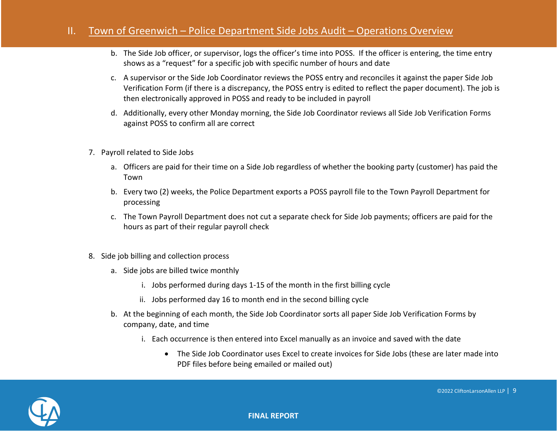- b. The Side Job officer, or supervisor, logs the officer's time into POSS. If the officer is entering, the time entry shows as a "request" for a specific job with specific number of hours and date
- c. A supervisor or the Side Job Coordinator reviews the POSS entry and reconciles it against the paper Side Job Verification Form (if there is a discrepancy, the POSS entry is edited to reflect the paper document). The job is then electronically approved in POSS and ready to be included in payroll
- d. Additionally, every other Monday morning, the Side Job Coordinator reviews all Side Job Verification Forms against POSS to confirm all are correct
- 7. Payroll related to Side Jobs
	- a. Officers are paid for their time on a Side Job regardless of whether the booking party (customer) has paid the Town
	- b. Every two (2) weeks, the Police Department exports a POSS payroll file to the Town Payroll Department for processing
	- c. The Town Payroll Department does not cut a separate check for Side Job payments; officers are paid for the hours as part of their regular payroll check
- 8. Side job billing and collection process
	- a. Side jobs are billed twice monthly
		- i. Jobs performed during days 1-15 of the month in the first billing cycle
		- ii. Jobs performed day 16 to month end in the second billing cycle
	- b. At the beginning of each month, the Side Job Coordinator sorts all paper Side Job Verification Forms by company, date, and time
		- i. Each occurrence is then entered into Excel manually as an invoice and saved with the date
			- The Side Job Coordinator uses Excel to create invoices for Side Jobs (these are later made into PDF files before being emailed or mailed out)

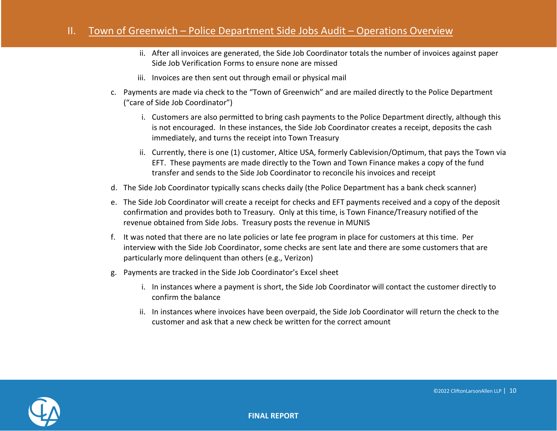- ii. After all invoices are generated, the Side Job Coordinator totals the number of invoices against paper Side Job Verification Forms to ensure none are missed
- iii. Invoices are then sent out through email or physical mail
- c. Payments are made via check to the "Town of Greenwich" and are mailed directly to the Police Department ("care of Side Job Coordinator")
	- i. Customers are also permitted to bring cash payments to the Police Department directly, although this is not encouraged. In these instances, the Side Job Coordinator creates a receipt, deposits the cash immediately, and turns the receipt into Town Treasury
	- ii. Currently, there is one (1) customer, Altice USA, formerly Cablevision/Optimum, that pays the Town via EFT. These payments are made directly to the Town and Town Finance makes a copy of the fund transfer and sends to the Side Job Coordinator to reconcile his invoices and receipt
- d. The Side Job Coordinator typically scans checks daily (the Police Department has a bank check scanner)
- e. The Side Job Coordinator will create a receipt for checks and EFT payments received and a copy of the deposit confirmation and provides both to Treasury. Only at this time, is Town Finance/Treasury notified of the revenue obtained from Side Jobs. Treasury posts the revenue in MUNIS
- f. It was noted that there are no late policies or late fee program in place for customers at this time. Per interview with the Side Job Coordinator, some checks are sent late and there are some customers that are particularly more delinquent than others (e.g., Verizon)
- g. Payments are tracked in the Side Job Coordinator's Excel sheet
	- i. In instances where a payment is short, the Side Job Coordinator will contact the customer directly to confirm the balance
	- ii. In instances where invoices have been overpaid, the Side Job Coordinator will return the check to the customer and ask that a new check be written for the correct amount

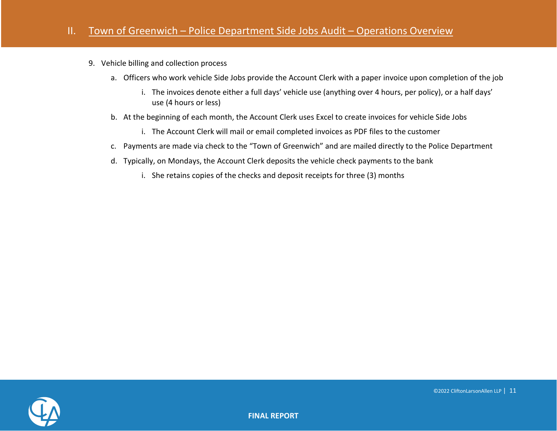- 9. Vehicle billing and collection process
	- a. Officers who work vehicle Side Jobs provide the Account Clerk with a paper invoice upon completion of the job
		- i. The invoices denote either a full days' vehicle use (anything over 4 hours, per policy), or a half days' use (4 hours or less)
	- b. At the beginning of each month, the Account Clerk uses Excel to create invoices for vehicle Side Jobs
		- i. The Account Clerk will mail or email completed invoices as PDF files to the customer
	- c. Payments are made via check to the "Town of Greenwich" and are mailed directly to the Police Department
	- d. Typically, on Mondays, the Account Clerk deposits the vehicle check payments to the bank
		- i. She retains copies of the checks and deposit receipts for three (3) months

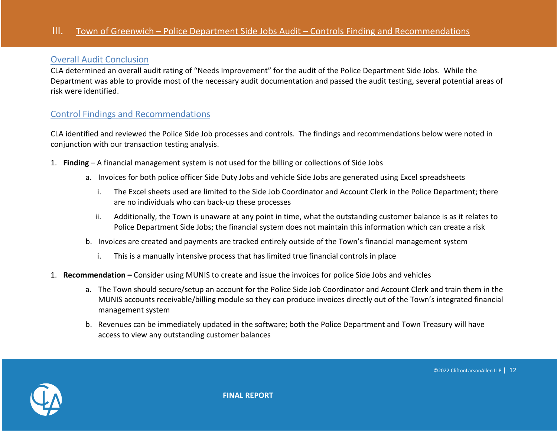#### <span id="page-11-0"></span>Overall Audit Conclusion

CLA determined an overall audit rating of "Needs Improvement" for the audit of the Police Department Side Jobs. While the Department was able to provide most of the necessary audit documentation and passed the audit testing, several potential areas of risk were identified.

#### <span id="page-11-1"></span>Control Findings and Recommendations

CLA identified and reviewed the Police Side Job processes and controls. The findings and recommendations below were noted in conjunction with our transaction testing analysis.

- 1. **Finding** A financial management system is not used for the billing or collections of Side Jobs
	- a. Invoices for both police officer Side Duty Jobs and vehicle Side Jobs are generated using Excel spreadsheets
		- i. The Excel sheets used are limited to the Side Job Coordinator and Account Clerk in the Police Department; there are no individuals who can back-up these processes
		- ii. Additionally, the Town is unaware at any point in time, what the outstanding customer balance is as it relates to Police Department Side Jobs; the financial system does not maintain this information which can create a risk
	- b. Invoices are created and payments are tracked entirely outside of the Town's financial management system
		- i. This is a manually intensive process that has limited true financial controls in place
- 1. **Recommendation –** Consider using MUNIS to create and issue the invoices for police Side Jobs and vehicles
	- a. The Town should secure/setup an account for the Police Side Job Coordinator and Account Clerk and train them in the MUNIS accounts receivable/billing module so they can produce invoices directly out of the Town's integrated financial management system
	- b. Revenues can be immediately updated in the software; both the Police Department and Town Treasury will have access to view any outstanding customer balances



**FINAL REPORT**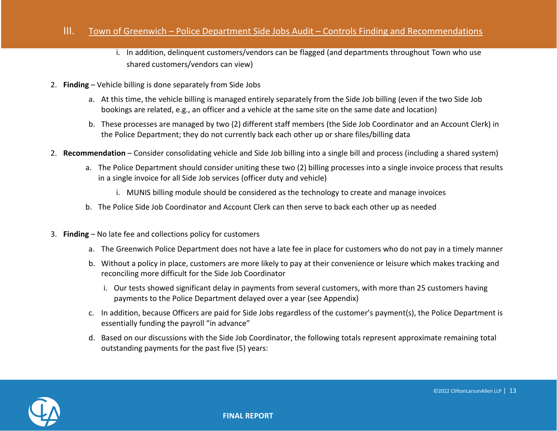- i. In addition, delinquent customers/vendors can be flagged (and departments throughout Town who use shared customers/vendors can view)
- 2. **Finding** Vehicle billing is done separately from Side Jobs
	- a. At this time, the vehicle billing is managed entirely separately from the Side Job billing (even if the two Side Job bookings are related, e.g., an officer and a vehicle at the same site on the same date and location)
	- b. These processes are managed by two (2) different staff members (the Side Job Coordinator and an Account Clerk) in the Police Department; they do not currently back each other up or share files/billing data
- 2. **Recommendation** Consider consolidating vehicle and Side Job billing into a single bill and process (including a shared system)
	- a. The Police Department should consider uniting these two (2) billing processes into a single invoice process that results in a single invoice for all Side Job services (officer duty and vehicle)
		- i. MUNIS billing module should be considered as the technology to create and manage invoices
	- b. The Police Side Job Coordinator and Account Clerk can then serve to back each other up as needed
- 3. **Finding** No late fee and collections policy for customers
	- a. The Greenwich Police Department does not have a late fee in place for customers who do not pay in a timely manner
	- b. Without a policy in place, customers are more likely to pay at their convenience or leisure which makes tracking and reconciling more difficult for the Side Job Coordinator
		- i. Our tests showed significant delay in payments from several customers, with more than 25 customers having payments to the Police Department delayed over a year (see Appendix)
	- c. In addition, because Officers are paid for Side Jobs regardless of the customer's payment(s), the Police Department is essentially funding the payroll "in advance"
	- d. Based on our discussions with the Side Job Coordinator, the following totals represent approximate remaining total outstanding payments for the past five (5) years:

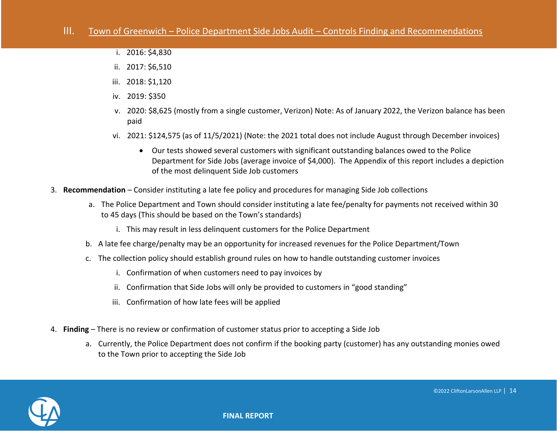- i. 2016: \$4,830
- ii. 2017: \$6,510
- iii. 2018: \$1,120
- iv. 2019: \$350
- v. 2020: \$8,625 (mostly from a single customer, Verizon) Note: As of January 2022, the Verizon balance has been paid
- vi. 2021: \$124,575 (as of 11/5/2021) (Note: the 2021 total does not include August through December invoices)
	- Our tests showed several customers with significant outstanding balances owed to the Police Department for Side Jobs (average invoice of \$4,000). The Appendix of this report includes a depiction of the most delinquent Side Job customers
- 3. **Recommendation** Consider instituting a late fee policy and procedures for managing Side Job collections
	- a. The Police Department and Town should consider instituting a late fee/penalty for payments not received within 30 to 45 days (This should be based on the Town's standards)
		- i. This may result in less delinquent customers for the Police Department
	- b. A late fee charge/penalty may be an opportunity for increased revenues for the Police Department/Town
	- c. The collection policy should establish ground rules on how to handle outstanding customer invoices
		- i. Confirmation of when customers need to pay invoices by
		- ii. Confirmation that Side Jobs will only be provided to customers in "good standing"
		- iii. Confirmation of how late fees will be applied
- 4. **Finding** There is no review or confirmation of customer status prior to accepting a Side Job
	- a. Currently, the Police Department does not confirm if the booking party (customer) has any outstanding monies owed to the Town prior to accepting the Side Job

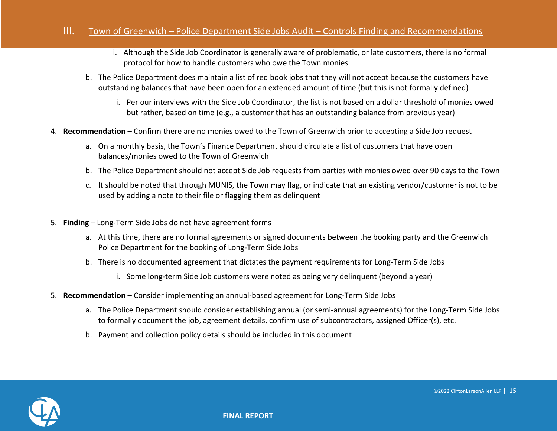- i. Although the Side Job Coordinator is generally aware of problematic, or late customers, there is no formal protocol for how to handle customers who owe the Town monies
- b. The Police Department does maintain a list of red book jobs that they will not accept because the customers have outstanding balances that have been open for an extended amount of time (but this is not formally defined)
	- i. Per our interviews with the Side Job Coordinator, the list is not based on a dollar threshold of monies owed but rather, based on time (e.g., a customer that has an outstanding balance from previous year)
- 4. **Recommendation** Confirm there are no monies owed to the Town of Greenwich prior to accepting a Side Job request
	- a. On a monthly basis, the Town's Finance Department should circulate a list of customers that have open balances/monies owed to the Town of Greenwich
	- b. The Police Department should not accept Side Job requests from parties with monies owed over 90 days to the Town
	- c. It should be noted that through MUNIS, the Town may flag, or indicate that an existing vendor/customer is not to be used by adding a note to their file or flagging them as delinquent
- 5. **Finding** Long-Term Side Jobs do not have agreement forms
	- a. At this time, there are no formal agreements or signed documents between the booking party and the Greenwich Police Department for the booking of Long-Term Side Jobs
	- b. There is no documented agreement that dictates the payment requirements for Long-Term Side Jobs
		- i. Some long-term Side Job customers were noted as being very delinquent (beyond a year)
- 5. **Recommendation** Consider implementing an annual-based agreement for Long-Term Side Jobs
	- a. The Police Department should consider establishing annual (or semi-annual agreements) for the Long-Term Side Jobs to formally document the job, agreement details, confirm use of subcontractors, assigned Officer(s), etc.
	- b. Payment and collection policy details should be included in this document

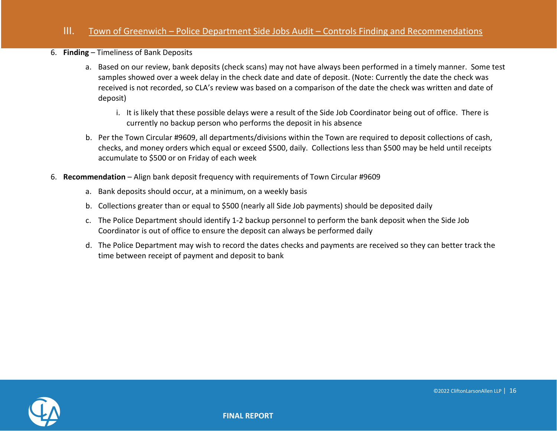#### 6. **Finding** – Timeliness of Bank Deposits

- a. Based on our review, bank deposits (check scans) may not have always been performed in a timely manner. Some test samples showed over a week delay in the check date and date of deposit. (Note: Currently the date the check was received is not recorded, so CLA's review was based on a comparison of the date the check was written and date of deposit)
	- i. It is likely that these possible delays were a result of the Side Job Coordinator being out of office. There is currently no backup person who performs the deposit in his absence
- b. Per the Town Circular #9609, all departments/divisions within the Town are required to deposit collections of cash, checks, and money orders which equal or exceed \$500, daily. Collections less than \$500 may be held until receipts accumulate to \$500 or on Friday of each week
- 6. **Recommendation** Align bank deposit frequency with requirements of Town Circular #9609
	- a. Bank deposits should occur, at a minimum, on a weekly basis
	- b. Collections greater than or equal to \$500 (nearly all Side Job payments) should be deposited daily
	- c. The Police Department should identify 1-2 backup personnel to perform the bank deposit when the Side Job Coordinator is out of office to ensure the deposit can always be performed daily
	- d. The Police Department may wish to record the dates checks and payments are received so they can better track the time between receipt of payment and deposit to bank

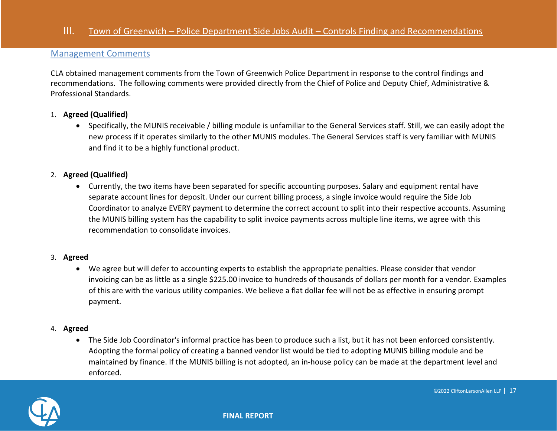#### <span id="page-16-0"></span>Management Comments

CLA obtained management comments from the Town of Greenwich Police Department in response to the control findings and recommendations. The following comments were provided directly from the Chief of Police and Deputy Chief, Administrative & Professional Standards.

#### 1. **Agreed (Qualified)**

• Specifically, the MUNIS receivable / billing module is unfamiliar to the General Services staff. Still, we can easily adopt the new process if it operates similarly to the other MUNIS modules. The General Services staff is very familiar with MUNIS and find it to be a highly functional product.

#### 2. **Agreed (Qualified)**

• Currently, the two items have been separated for specific accounting purposes. Salary and equipment rental have separate account lines for deposit. Under our current billing process, a single invoice would require the Side Job Coordinator to analyze EVERY payment to determine the correct account to split into their respective accounts. Assuming the MUNIS billing system has the capability to split invoice payments across multiple line items, we agree with this recommendation to consolidate invoices.

#### 3. **Agreed**

• We agree but will defer to accounting experts to establish the appropriate penalties. Please consider that vendor invoicing can be as little as a single \$225.00 invoice to hundreds of thousands of dollars per month for a vendor. Examples of this are with the various utility companies. We believe a flat dollar fee will not be as effective in ensuring prompt payment.

#### 4. **Agreed**

• The Side Job Coordinator's informal practice has been to produce such a list, but it has not been enforced consistently. Adopting the formal policy of creating a banned vendor list would be tied to adopting MUNIS billing module and be maintained by finance. If the MUNIS billing is not adopted, an in-house policy can be made at the department level and enforced.

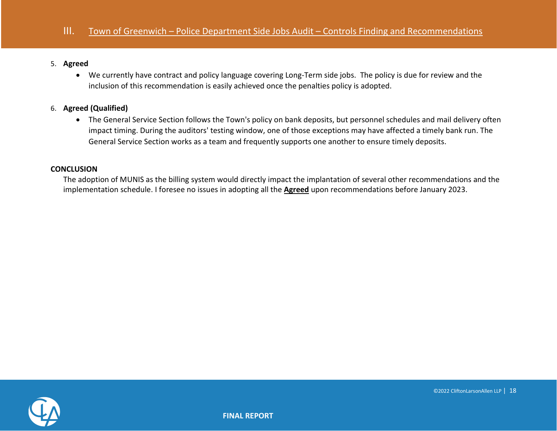#### 5. **Agreed**

• We currently have contract and policy language covering Long-Term side jobs. The policy is due for review and the inclusion of this recommendation is easily achieved once the penalties policy is adopted.

#### 6. **Agreed (Qualified)**

• The General Service Section follows the Town's policy on bank deposits, but personnel schedules and mail delivery often impact timing. During the auditors' testing window, one of those exceptions may have affected a timely bank run. The General Service Section works as a team and frequently supports one another to ensure timely deposits.

#### **CONCLUSION**

The adoption of MUNIS as the billing system would directly impact the implantation of several other recommendations and the implementation schedule. I foresee no issues in adopting all the **Agreed** upon recommendations before January 2023.

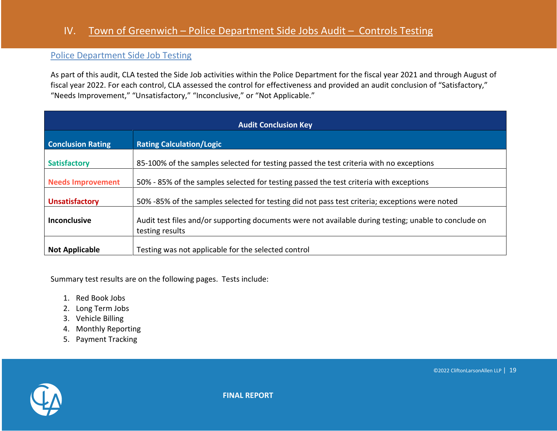## IV. Town of Greenwich – Police Department Side Jobs Audit – Controls Testing

### <span id="page-18-0"></span>Police Department Side Job Testing

As part of this audit, CLA tested the Side Job activities within the Police Department for the fiscal year 2021 and through August of fiscal year 2022. For each control, CLA assessed the control for effectiveness and provided an audit conclusion of "Satisfactory," "Needs Improvement," "Unsatisfactory," "Inconclusive," or "Not Applicable."

| <b>Audit Conclusion Key</b> |                                                                                                                          |  |  |
|-----------------------------|--------------------------------------------------------------------------------------------------------------------------|--|--|
| <b>Conclusion Rating</b>    | <b>Rating Calculation/Logic</b>                                                                                          |  |  |
| <b>Satisfactory</b>         | 85-100% of the samples selected for testing passed the test criteria with no exceptions                                  |  |  |
| <b>Needs Improvement</b>    | 50% - 85% of the samples selected for testing passed the test criteria with exceptions                                   |  |  |
| <b>Unsatisfactory</b>       | 50% -85% of the samples selected for testing did not pass test criteria; exceptions were noted                           |  |  |
| <b>Inconclusive</b>         | Audit test files and/or supporting documents were not available during testing; unable to conclude on<br>testing results |  |  |
| <b>Not Applicable</b>       | Testing was not applicable for the selected control                                                                      |  |  |

Summary test results are on the following pages. Tests include:

- 1. Red Book Jobs
- 2. Long Term Jobs
- 3. Vehicle Billing
- 4. Monthly Reporting
- 5. Payment Tracking

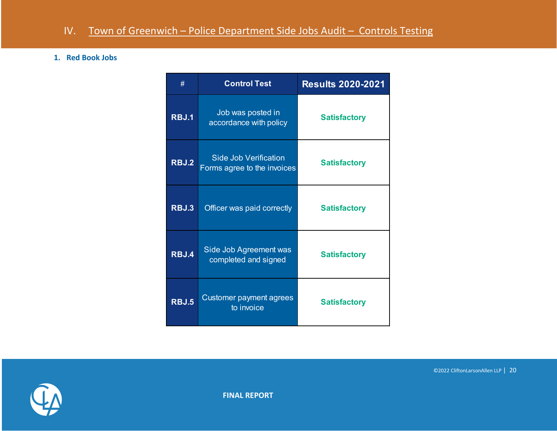#### **1. Red Book Jobs**

| #     | <b>Control Test</b>                                         | <b>Results 2020-2021</b> |
|-------|-------------------------------------------------------------|--------------------------|
| RBJ.1 | Job was posted in<br>accordance with policy                 | <b>Satisfactory</b>      |
| RBJ.2 | <b>Side Job Verification</b><br>Forms agree to the invoices | <b>Satisfactory</b>      |
| RBJ.3 | Officer was paid correctly                                  | <b>Satisfactory</b>      |
| RBJ.4 | Side Job Agreement was<br>completed and signed              | <b>Satisfactory</b>      |
| RBJ.5 | Customer payment agrees<br>to invoice                       | <b>Satisfactory</b>      |



**FINAL REPORT**

©2022 CliftonLarsonAllen LLP | 20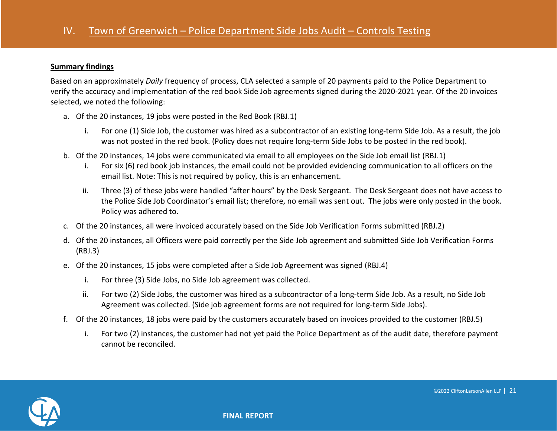#### **Summary findings**

Based on an approximately *Daily* frequency of process, CLA selected a sample of 20 payments paid to the Police Department to verify the accuracy and implementation of the red book Side Job agreements signed during the 2020-2021 year. Of the 20 invoices selected, we noted the following:

- a. Of the 20 instances, 19 jobs were posted in the Red Book (RBJ.1)
	- i. For one (1) Side Job, the customer was hired as a subcontractor of an existing long-term Side Job. As a result, the job was not posted in the red book. (Policy does not require long-term Side Jobs to be posted in the red book).
- b. Of the 20 instances, 14 jobs were communicated via email to all employees on the Side Job email list (RBJ.1)
	- i. For six (6) red book job instances, the email could not be provided evidencing communication to all officers on the email list. Note: This is not required by policy, this is an enhancement.
	- ii. Three (3) of these jobs were handled "after hours" by the Desk Sergeant. The Desk Sergeant does not have access to the Police Side Job Coordinator's email list; therefore, no email was sent out. The jobs were only posted in the book. Policy was adhered to.
- c. Of the 20 instances, all were invoiced accurately based on the Side Job Verification Forms submitted (RBJ.2)
- d. Of the 20 instances, all Officers were paid correctly per the Side Job agreement and submitted Side Job Verification Forms (RBJ.3)
- e. Of the 20 instances, 15 jobs were completed after a Side Job Agreement was signed (RBJ.4)
	- i. For three (3) Side Jobs, no Side Job agreement was collected.
	- ii. For two (2) Side Jobs, the customer was hired as a subcontractor of a long-term Side Job. As a result, no Side Job Agreement was collected. (Side job agreement forms are not required for long-term Side Jobs).
- f. Of the 20 instances, 18 jobs were paid by the customers accurately based on invoices provided to the customer (RBJ.5)
	- i. For two (2) instances, the customer had not yet paid the Police Department as of the audit date, therefore payment cannot be reconciled.

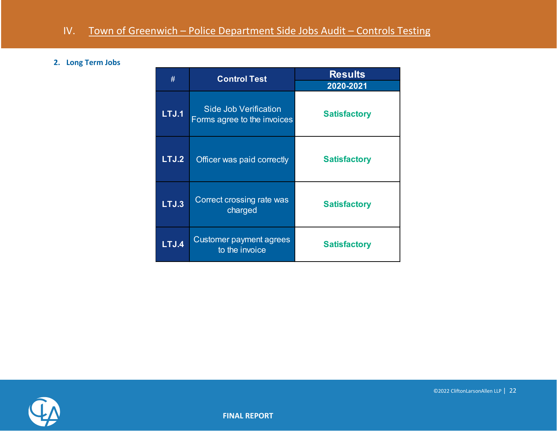#### **2. Long Term Jobs**

| #     | <b>Control Test</b>                                         | <b>Results</b><br>2020-2021 |  |
|-------|-------------------------------------------------------------|-----------------------------|--|
| LTJ.1 | <b>Side Job Verification</b><br>Forms agree to the invoices | <b>Satisfactory</b>         |  |
| LTJ.2 | Officer was paid correctly                                  | <b>Satisfactory</b>         |  |
| LTJ.3 | Correct crossing rate was<br>charged                        | <b>Satisfactory</b>         |  |
| LTJ.4 | Customer payment agrees<br>to the invoice                   | <b>Satisfactory</b>         |  |

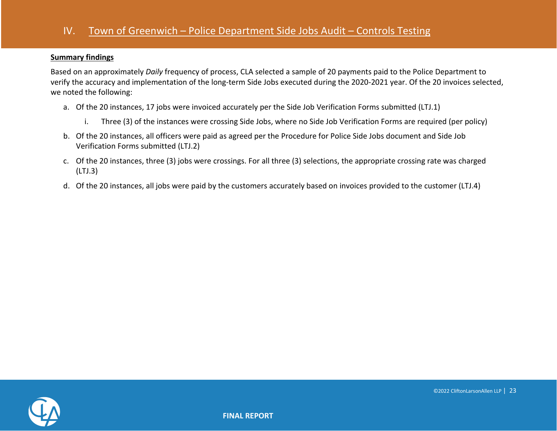#### **Summary findings**

Based on an approximately *Daily* frequency of process, CLA selected a sample of 20 payments paid to the Police Department to verify the accuracy and implementation of the long-term Side Jobs executed during the 2020-2021 year. Of the 20 invoices selected, we noted the following:

- a. Of the 20 instances, 17 jobs were invoiced accurately per the Side Job Verification Forms submitted (LTJ.1)
	- i. Three (3) of the instances were crossing Side Jobs, where no Side Job Verification Forms are required (per policy)
- b. Of the 20 instances, all officers were paid as agreed per the Procedure for Police Side Jobs document and Side Job Verification Forms submitted (LTJ.2)
- c. Of the 20 instances, three (3) jobs were crossings. For all three (3) selections, the appropriate crossing rate was charged (LTJ.3)
- d. Of the 20 instances, all jobs were paid by the customers accurately based on invoices provided to the customer (LTJ.4)

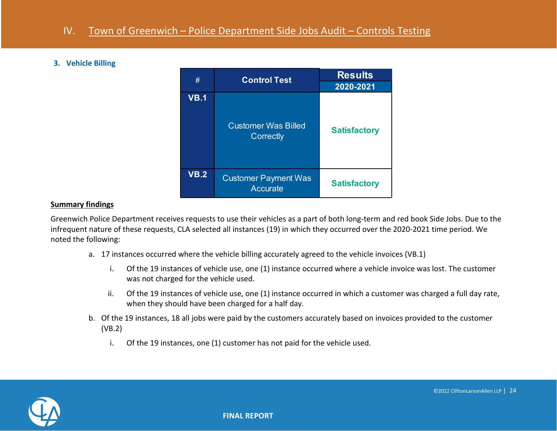#### **3. Vehicle Billing**



#### **Summary findings**

Greenwich Police Department receives requests to use their vehicles as a part of both long-term and red book Side Jobs. Due to the infrequent nature of these requests, CLA selected all instances (19) in which they occurred over the 2020-2021 time period. We noted the following:

- a. 17 instances occurred where the vehicle billing accurately agreed to the vehicle invoices (VB.1)
	- i. Of the 19 instances of vehicle use, one (1) instance occurred where a vehicle invoice was lost. The customer was not charged for the vehicle used.
	- ii. Of the 19 instances of vehicle use, one (1) instance occurred in which a customer was charged a full day rate, when they should have been charged for a half day.
- b. Of the 19 instances, 18 all jobs were paid by the customers accurately based on invoices provided to the customer (VB.2)
	- i. Of the 19 instances, one (1) customer has not paid for the vehicle used.

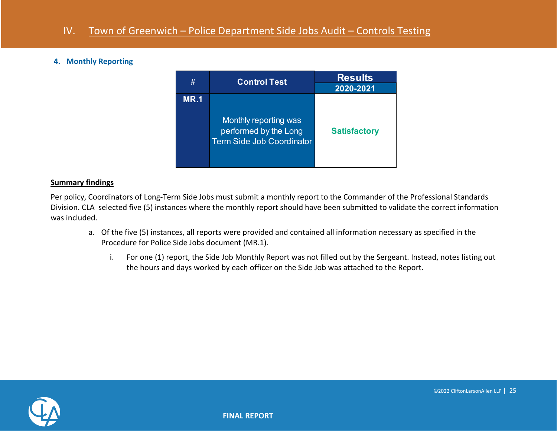#### **4. Monthly Reporting**

| #           | <b>Control Test</b>                                                                | <b>Results</b><br>2020-2021 |
|-------------|------------------------------------------------------------------------------------|-----------------------------|
| <b>MR.1</b> | Monthly reporting was<br>performed by the Long<br><b>Term Side Job Coordinator</b> | <b>Satisfactory</b>         |

#### **Summary findings**

Per policy, Coordinators of Long-Term Side Jobs must submit a monthly report to the Commander of the Professional Standards Division. CLA selected five (5) instances where the monthly report should have been submitted to validate the correct information was included.

- a. Of the five (5) instances, all reports were provided and contained all information necessary as specified in the Procedure for Police Side Jobs document (MR.1).
	- i. For one (1) report, the Side Job Monthly Report was not filled out by the Sergeant. Instead, notes listing out the hours and days worked by each officer on the Side Job was attached to the Report.

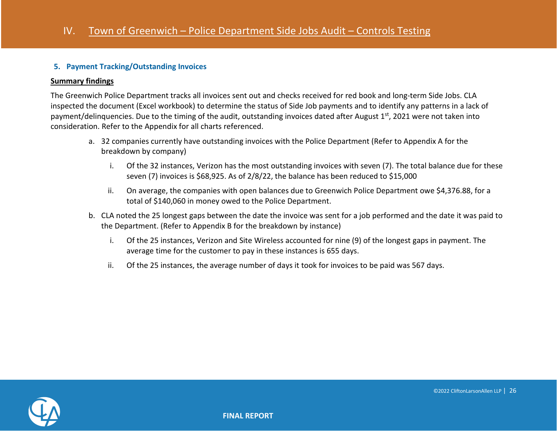#### **5. Payment Tracking/Outstanding Invoices**

#### **Summary findings**

The Greenwich Police Department tracks all invoices sent out and checks received for red book and long-term Side Jobs. CLA inspected the document (Excel workbook) to determine the status of Side Job payments and to identify any patterns in a lack of payment/delinquencies. Due to the timing of the audit, outstanding invoices dated after August 1<sup>st</sup>, 2021 were not taken into consideration. Refer to the Appendix for all charts referenced.

- a. 32 companies currently have outstanding invoices with the Police Department (Refer to Appendix A for the breakdown by company)
	- i. Of the 32 instances, Verizon has the most outstanding invoices with seven (7). The total balance due for these seven (7) invoices is \$68,925. As of 2/8/22, the balance has been reduced to \$15,000
	- ii. On average, the companies with open balances due to Greenwich Police Department owe \$4,376.88, for a total of \$140,060 in money owed to the Police Department.
- b. CLA noted the 25 longest gaps between the date the invoice was sent for a job performed and the date it was paid to the Department. (Refer to Appendix B for the breakdown by instance)
	- i. Of the 25 instances, Verizon and Site Wireless accounted for nine (9) of the longest gaps in payment. The average time for the customer to pay in these instances is 655 days.
	- ii. Of the 25 instances, the average number of days it took for invoices to be paid was 567 days.

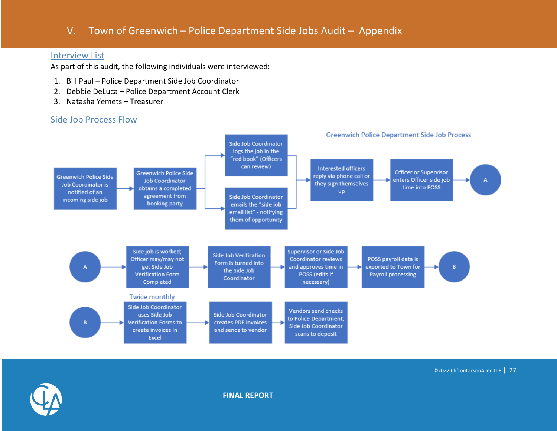## V. Town of Greenwich – Police Department Side Jobs Audit – Appendix

#### <span id="page-26-0"></span>Interview List

As part of this audit, the following individuals were interviewed:

- 1. Bill Paul Police Department Side Job Coordinator
- 2. Debbie DeLuca Police Department Account Clerk
- 3. Natasha Yemets Treasurer

## <span id="page-26-1"></span>Side Job Process Flow



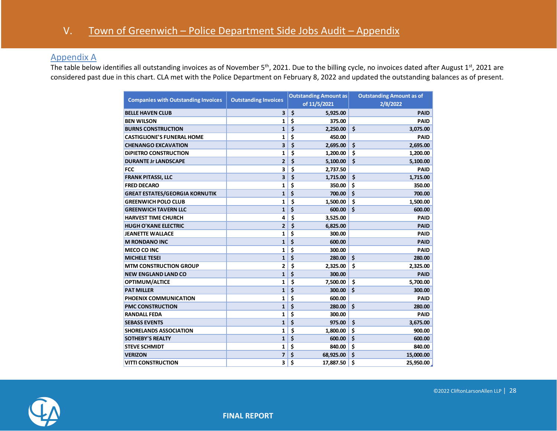### <span id="page-27-0"></span>Appendix A

The table below identifies all outstanding invoices as of November 5<sup>th</sup>, 2021. Due to the billing cycle, no invoices dated after August 1<sup>st</sup>, 2021 are considered past due in this chart. CLA met with the Police Department on February 8, 2022 and updated the outstanding balances as of present.

| <b>Companies with Outstanding Invoices</b> | <b>Outstanding Invoices</b> |    | <b>Outstanding Amount as</b> | <b>Outstanding Amount as of</b> |  |
|--------------------------------------------|-----------------------------|----|------------------------------|---------------------------------|--|
|                                            |                             |    | of 11/5/2021                 | 2/8/2022                        |  |
| <b>BELLE HAVEN CLUB</b>                    | 3                           | \$ | 5,925.00                     | <b>PAID</b>                     |  |
| <b>BEN WILSON</b>                          | 1                           | \$ | 375.00                       | <b>PAID</b>                     |  |
| <b>BURNS CONSTRUCTION</b>                  | $\mathbf{1}$                | \$ | 2,250.00                     | \$<br>3,075.00                  |  |
| <b>CASTIGLIONE'S FUNERAL HOME</b>          | 1                           | \$ | 450.00                       | <b>PAID</b>                     |  |
| <b>CHENANGO EXCAVATION</b>                 | 3                           | \$ | 2,695.00                     | \$<br>2,695.00                  |  |
| <b>DIPIETRO CONSTRUCTION</b>               | 1                           | \$ | 1,200.00                     | \$<br>1,200.00                  |  |
| <b>DURANTE Jr LANDSCAPE</b>                | $\overline{2}$              | \$ | 5,100.00                     | \$<br>5,100.00                  |  |
| <b>FCC</b>                                 | 3                           | \$ | 2,737.50                     | <b>PAID</b>                     |  |
| <b>FRANK PITASSI, LLC</b>                  | 3                           | \$ | 1,715.00                     | \$<br>1,715.00                  |  |
| <b>FRED DECARO</b>                         | 1                           | \$ | 350.00                       | \$<br>350.00                    |  |
| <b>GREAT ESTATES/GEORGIA KORNUTIK</b>      | $\mathbf{1}$                | \$ | 700.00                       | \$<br>700.00                    |  |
| <b>GREENWICH POLO CLUB</b>                 | 1                           | \$ | 1,500.00                     | \$<br>1,500.00                  |  |
| <b>GREENWICH TAVERN LLC</b>                | $\mathbf{1}$                | \$ | 600.00                       | \$<br>600.00                    |  |
| <b>HARVEST TIME CHURCH</b>                 | 4                           | \$ | 3,525.00                     | <b>PAID</b>                     |  |
| <b>HUGH O'KANE ELECTRIC</b>                | $\overline{2}$              | \$ | 6,825.00                     | <b>PAID</b>                     |  |
| <b>JEANETTE WALLACE</b>                    | 1                           | \$ | 300.00                       | <b>PAID</b>                     |  |
| <b>M RONDANO INC</b>                       | 1                           | \$ | 600.00                       | <b>PAID</b>                     |  |
| <b>MECO CO INC</b>                         | 1                           | \$ | 300.00                       | <b>PAID</b>                     |  |
| <b>MICHELE TESEI</b>                       | $\mathbf{1}$                | \$ | 280.00                       | \$<br>280.00                    |  |
| <b>MTM CONSTRUCTION GROUP</b>              | $\overline{2}$              | \$ | 2,325.00                     | \$<br>2,325.00                  |  |
| <b>NEW ENGLAND LAND CO</b>                 | $\mathbf{1}$                | \$ | 300.00                       | <b>PAID</b>                     |  |
| OPTIMUM/ALTICE                             | 1                           | \$ | 7,500.00                     | \$<br>5,700.00                  |  |
| <b>PAT MILLER</b>                          | $\mathbf{1}$                | \$ | 300.00                       | \$<br>300.00                    |  |
| <b>PHOENIX COMMUNICATION</b>               | 1                           | \$ | 600.00                       | <b>PAID</b>                     |  |
| <b>PMC CONSTRUCTION</b>                    | $\mathbf{1}$                | \$ | 280.00                       | \$<br>280.00                    |  |
| <b>RANDALL FEDA</b>                        | 1                           | \$ | 300.00                       | <b>PAID</b>                     |  |
| <b>SEBASS EVENTS</b>                       | $\mathbf{1}$                | \$ | 975.00                       | \$<br>3,675.00                  |  |
| <b>SHORELANDS ASSOCIATION</b>              | 1                           | Ś  | 1,800.00                     | \$<br>900.00                    |  |
| <b>SOTHEBY'S REALTY</b>                    | $\mathbf{1}$                | \$ | 600.00                       | \$<br>600.00                    |  |
| <b>STEVE SCHMIDT</b>                       | 1                           | \$ | 840.00                       | \$<br>840.00                    |  |
| <b>VERIZON</b>                             | 7                           | \$ | 68,925.00                    | \$<br>15,000.00                 |  |
| <b>VITTI CONSTRUCTION</b>                  | 3                           | \$ | 17,887.50                    | \$<br>25,950.00                 |  |

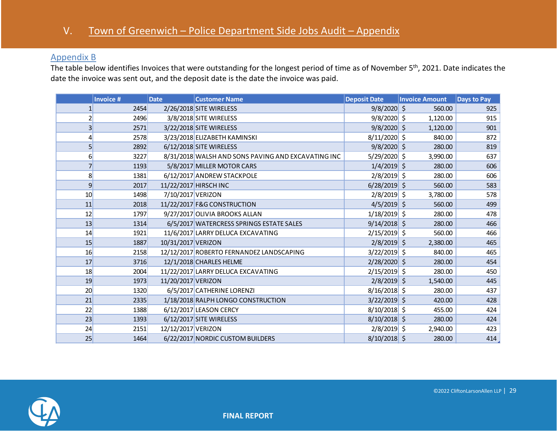## <span id="page-28-0"></span>Appendix B

The table below identifies Invoices that were outstanding for the longest period of time as of November 5<sup>th</sup>, 2021. Date indicates the date the invoice was sent out, and the deposit date is the date the invoice was paid.

|                 | <b>Invoice #</b> | <b>Date</b>        | <b>Customer Name</b>                               | <b>Deposit Date</b> | <b>Invoice Amount</b> | <b>Days to Pay</b> |
|-----------------|------------------|--------------------|----------------------------------------------------|---------------------|-----------------------|--------------------|
|                 | 2454             |                    | 2/26/2018 SITE WIRELESS                            | $9/8/2020$ \$       | 560.00                | 925                |
| 2               | 2496             |                    | 3/8/2018 SITE WIRELESS                             | $9/8/2020$ \$       | 1,120.00              | 915                |
| $\overline{3}$  | 2571             |                    | 3/22/2018 SITE WIRELESS                            | $9/8/2020$ \$       | 1,120.00              | 901                |
| 4               | 2578             |                    | 3/23/2018 ELIZABETH KAMINSKI                       | $8/11/2020$ \$      | 840.00                | 872                |
| 5 <sup>1</sup>  | 2892             |                    | 6/12/2018 SITE WIRELESS                            | $9/8/2020$ \$       | 280.00                | 819                |
| $6 \overline{}$ | 3227             |                    | 8/31/2018 WALSH AND SONS PAVING AND EXCAVATING INC | $5/29/2020$ \$      | 3,990.00              | 637                |
| 7               | 1193             |                    | 5/8/2017 MILLER MOTOR CARS                         | $1/4/2019$ \$       | 280.00                | 606                |
| 8               | 1381             |                    | 6/12/2017 ANDREW STACKPOLE                         | $2/8/2019$ \$       | 280.00                | 606                |
| 9               | 2017             |                    | 11/22/2017 HIRSCH INC                              | $6/28/2019$ \$      | 560.00                | 583                |
| 10              | 1498             | 7/10/2017 VERIZON  |                                                    | $2/8/2019$ \$       | 3,780.00              | 578                |
| 11              | 2018             |                    | 11/22/2017 F&G CONSTRUCTION                        | $4/5/2019$ \$       | 560.00                | 499                |
| 12              | 1797             |                    | 9/27/2017 OLIVIA BROOKS ALLAN                      | $1/18/2019$ \$      | 280.00                | 478                |
| 13              | 1314             |                    | 6/5/2017 WATERCRESS SPRINGS ESTATE SALES           | $9/14/2018$ \$      | 280.00                | 466                |
| 14              | 1921             |                    | 11/6/2017 LARRY DELUCA EXCAVATING                  | $2/15/2019$ \$      | 560.00                | 466                |
| 15              | 1887             | 10/31/2017 VERIZON |                                                    | $2/8/2019$ \$       | 2,380.00              | 465                |
| 16              | 2158             |                    | 12/12/2017 ROBERTO FERNANDEZ LANDSCAPING           | $3/22/2019$ \$      | 840.00                | 465                |
| 17              | 3716             |                    | 12/1/2018 CHARLES HELME                            | $2/28/2020$ \$      | 280.00                | 454                |
| 18              | 2004             |                    | 11/22/2017 LARRY DELUCA EXCAVATING                 | $2/15/2019$ \$      | 280.00                | 450                |
| 19              | 1973             | 11/20/2017 VERIZON |                                                    | $2/8/2019$ \$       | 1,540.00              | 445                |
| 20              | 1320             |                    | 6/5/2017 CATHERINE LORENZI                         | $8/16/2018$ \$      | 280.00                | 437                |
| 21              | 2335             |                    | 1/18/2018 RALPH LONGO CONSTRUCTION                 | $3/22/2019$ \$      | 420.00                | 428                |
| 22              | 1388             |                    | 6/12/2017 LEASON CERCY                             | $8/10/2018$ \$      | 455.00                | 424                |
| 23              | 1393             |                    | 6/12/2017 SITE WIRELESS                            | $8/10/2018$ \$      | 280.00                | 424                |
| 24              | 2151             | 12/12/2017 VERIZON |                                                    | $2/8/2019$ \$       | 2,940.00              | 423                |
| 25              | 1464             |                    | 6/22/2017 NORDIC CUSTOM BUILDERS                   | $8/10/2018$ \$      | 280.00                | 414                |